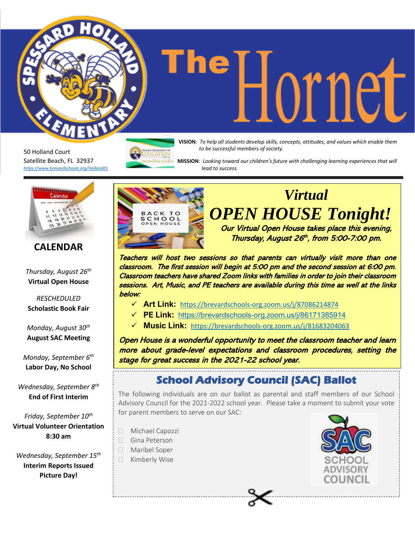50 Holland Court Satellite Beach, FL 32937 *<https://www.brevardschools.org/HollandES>*

**The DUDE MEDICAL Students develop skills, concepts, attitudes, and values which enable them** *to be successful members of society.*

 **MISSION**: *Looking toward our children's future with challenging learning experiences that will lead to success.*



### **CALENDAR**

*Thursday, August 26th* **Virtual Open House**

*RESCHEDULED* **Scholastic Book Fair**

*Monday, August 30th* **August SAC Meeting**

*Monday, September 6 th* **Labor Day, No School**

*Wednesday, September 8th* **End of First Interim**

*Friday, September 10th* **Virtual Volunteer Orientation 8:30 am**

*Wednesday, September 15th* **Interim Reports Issued Picture Day!**



## *Virtual OPEN HOUSE Tonight!*

Our Virtual Open House takes place this evening, Thursday, August 26<sup>th</sup>, from 5:00-7:00 pm.

Teachers will host two sessions so that parents can virtually visit more than one classroom. The first session will begin at 5:00 pm and the second session at 6:00 pm. Classroom teachers have shared Zoom links with families in order to join their classroom sessions. Art, Music, and PE teachers are available during this time as well at the links below:

- ✓ **Art Link:** <https://brevardschools-org.zoom.us/j/87086214874>
- ✓ **PE Link:** <https://brevardschools-org.zoom.us/j/86171385914>
- ✓ **Music Link:** <https://brevardschools-org.zoom.us/j/81683204063>

Open House is a wonderful opportunity to meet the classroom teacher and learn more about grade-level expectations and classroom procedures, setting the stage for great success in the 2021-22 school year.

### **School Advisory Council (SAC) Ballot**

The following individuals are on our ballot as parental and staff members of our School Advisory Council for the 2021-2022 school year. Please take a moment to submit your vote for parent members to serve on our SAC:

- Michael Capozzi
- □ Gina Peterson
- Maribel Soper
- □ Kimberly Wise